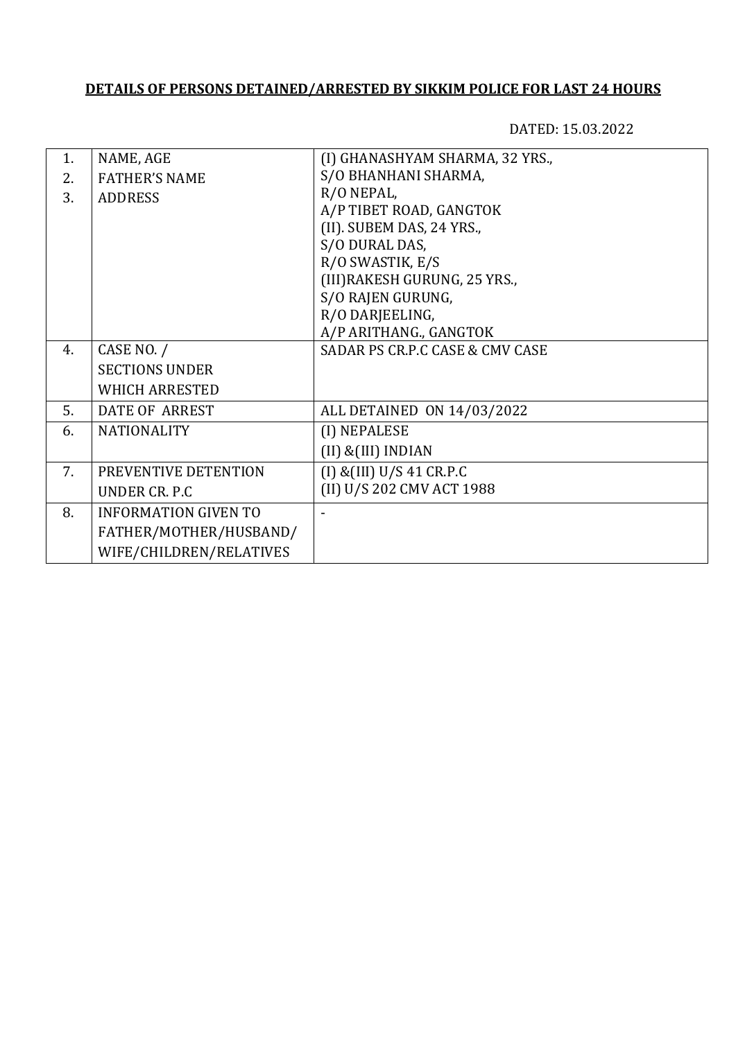## **DETAILS OF PERSONS DETAINED/ARRESTED BY SIKKIM POLICE FOR LAST 24 HOURS**

DATED: 15.03.2022

| 1. | NAME, AGE                   | (I) GHANASHYAM SHARMA, 32 YRS., |
|----|-----------------------------|---------------------------------|
| 2. | <b>FATHER'S NAME</b>        | S/O BHANHANI SHARMA,            |
| 3. | <b>ADDRESS</b>              | R/O NEPAL,                      |
|    |                             | A/P TIBET ROAD, GANGTOK         |
|    |                             | (II). SUBEM DAS, 24 YRS.,       |
|    |                             | S/O DURAL DAS,                  |
|    |                             | R/O SWASTIK, E/S                |
|    |                             | (III) RAKESH GURUNG, 25 YRS.,   |
|    |                             | S/O RAJEN GURUNG,               |
|    |                             | R/O DARJEELING,                 |
|    |                             | A/P ARITHANG., GANGTOK          |
| 4. | CASE NO. /                  | SADAR PS CR.P.C CASE & CMV CASE |
|    | <b>SECTIONS UNDER</b>       |                                 |
|    | <b>WHICH ARRESTED</b>       |                                 |
| 5. | <b>DATE OF ARREST</b>       | ALL DETAINED ON 14/03/2022      |
| 6. | <b>NATIONALITY</b>          | (I) NEPALESE                    |
|    |                             | (II) & (III) INDIAN             |
| 7. | PREVENTIVE DETENTION        | $(I)$ & $(III)$ U/S 41 CR.P.C   |
|    | UNDER CR. P.C               | (II) U/S 202 CMV ACT 1988       |
| 8. | <b>INFORMATION GIVEN TO</b> | $\blacksquare$                  |
|    | FATHER/MOTHER/HUSBAND/      |                                 |
|    | WIFE/CHILDREN/RELATIVES     |                                 |